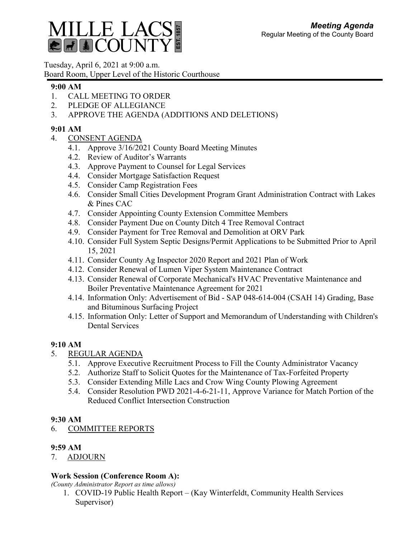

Tuesday, April 6, 2021 at 9:00 a.m. Board Room, Upper Level of the Historic Courthouse

### **9:00 AM**

- 1. CALL MEETING TO ORDER
- 2. PLEDGE OF ALLEGIANCE
- 3. APPROVE THE AGENDA (ADDITIONS AND DELETIONS)

# **9:01 AM**

- 4. CONSENT AGENDA
	- 4.1. Approve 3/16/2021 County Board Meeting Minutes
	- 4.2. Review of Auditor's Warrants
	- 4.3. Approve Payment to Counsel for Legal Services
	- 4.4. Consider Mortgage Satisfaction Request
	- 4.5. Consider Camp Registration Fees
	- 4.6. Consider Small Cities Development Program Grant Administration Contract with Lakes & Pines CAC
	- 4.7. Consider Appointing County Extension Committee Members
	- 4.8. Consider Payment Due on County Ditch 4 Tree Removal Contract
	- 4.9. Consider Payment for Tree Removal and Demolition at ORV Park
	- 4.10. Consider Full System Septic Designs/Permit Applications to be Submitted Prior to April 15, 2021
	- 4.11. Consider County Ag Inspector 2020 Report and 2021 Plan of Work
	- 4.12. Consider Renewal of Lumen Viper System Maintenance Contract
	- 4.13. Consider Renewal of Corporate Mechanical's HVAC Preventative Maintenance and Boiler Preventative Maintenance Agreement for 2021
	- 4.14. Information Only: Advertisement of Bid SAP 048-614-004 (CSAH 14) Grading, Base and Bituminous Surfacing Project
	- 4.15. Information Only: Letter of Support and Memorandum of Understanding with Children's Dental Services

## **9:10 AM**

- 5. REGULAR AGENDA
	- 5.1. Approve Executive Recruitment Process to Fill the County Administrator Vacancy
	- 5.2. Authorize Staff to Solicit Quotes for the Maintenance of Tax-Forfeited Property
	- 5.3. Consider Extending Mille Lacs and Crow Wing County Plowing Agreement
	- 5.4. Consider Resolution PWD 2021-4-6-21-11, Approve Variance for Match Portion of the Reduced Conflict Intersection Construction

## **9:30 AM**

## 6. COMMITTEE REPORTS

## **9:59 AM**

7. ADJOURN

## **Work Session (Conference Room A):**

*(County Administrator Report as time allows)*

1. COVID-19 Public Health Report – (Kay Winterfeldt, Community Health Services Supervisor)